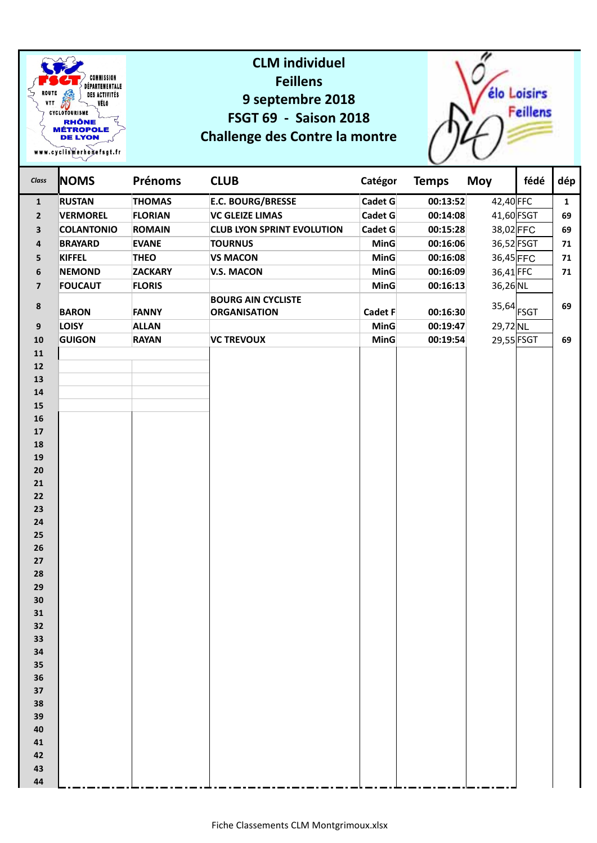

## **CLM individuel Feillens 9 septembre 2018 FSGT 69 - Saison 2018 Challenge des Contre la montre**



| Class                    | <b>NOMS</b>       | <b>Prénoms</b> | <b>CLUB</b>                                      | Catégor     | <b>Temps</b> | <b>Moy</b>                | fédé | dép          |
|--------------------------|-------------------|----------------|--------------------------------------------------|-------------|--------------|---------------------------|------|--------------|
| $\mathbf{1}$             | <b>RUSTAN</b>     | <b>THOMAS</b>  | <b>E.C. BOURG/BRESSE</b>                         | Cadet $G$   | 00:13:52     | 42,40 FFC                 |      | $\mathbf{1}$ |
| $\overline{2}$           | <b>VERMOREL</b>   | <b>FLORIAN</b> | <b>VC GLEIZE LIMAS</b>                           | Cadet $G$   | 00:14:08     | 41,60 FSGT                |      | 69           |
| 3                        | <b>COLANTONIO</b> | <b>ROMAIN</b>  | <b>CLUB LYON SPRINT EVOLUTION</b>                | Cadet G     | 00:15:28     | 38,02 FFC                 |      | 69           |
| 4                        | <b>BRAYARD</b>    | <b>EVANE</b>   | <b>TOURNUS</b>                                   | <b>MinG</b> | 00:16:06     | 36,52 FSGT                |      | 71           |
| 5                        | <b>KIFFEL</b>     | <b>THEO</b>    | <b>VS MACON</b>                                  | <b>MinG</b> | 00:16:08     | 36,45 FFC                 |      | 71           |
| $\bf 6$                  | <b>NEMOND</b>     | <b>ZACKARY</b> | <b>V.S. MACON</b>                                | <b>MinG</b> | 00:16:09     | $36,41$ FFC               |      | 71           |
| $\overline{\mathbf{z}}$  | <b>FOUCAUT</b>    | <b>FLORIS</b>  |                                                  | <b>MinG</b> | 00:16:13     | $36,26$ NL                |      |              |
| 8                        | <b>BARON</b>      | <b>FANNY</b>   | <b>BOURG AIN CYCLISTE</b><br><b>ORGANISATION</b> | Cadet F     | 00:16:30     | $35,64$ $\overline{FSGT}$ |      | 69           |
| $\boldsymbol{9}$         | <b>LOISY</b>      | <b>ALLAN</b>   |                                                  | <b>MinG</b> | 00:19:47     | 29,72 NL                  |      |              |
| ${\bf 10}$               | <b>GUIGON</b>     | <b>RAYAN</b>   | <b>VC TREVOUX</b>                                | <b>MinG</b> | 00:19:54     | 29,55 FSGT                |      | 69           |
| ${\bf 11}$               |                   |                |                                                  |             |              |                           |      |              |
| 12                       |                   |                |                                                  |             |              |                           |      |              |
| 13                       |                   |                |                                                  |             |              |                           |      |              |
| 14                       |                   |                |                                                  |             |              |                           |      |              |
| ${\bf 15}$<br>${\bf 16}$ |                   |                |                                                  |             |              |                           |      |              |
| ${\bf 17}$               |                   |                |                                                  |             |              |                           |      |              |
| 18                       |                   |                |                                                  |             |              |                           |      |              |
| 19                       |                   |                |                                                  |             |              |                           |      |              |
| 20                       |                   |                |                                                  |             |              |                           |      |              |
| 21                       |                   |                |                                                  |             |              |                           |      |              |
| 22                       |                   |                |                                                  |             |              |                           |      |              |
| 23                       |                   |                |                                                  |             |              |                           |      |              |
| ${\bf 24}$               |                   |                |                                                  |             |              |                           |      |              |
| 25                       |                   |                |                                                  |             |              |                           |      |              |
| 26<br>27                 |                   |                |                                                  |             |              |                           |      |              |
| 28                       |                   |                |                                                  |             |              |                           |      |              |
| 29                       |                   |                |                                                  |             |              |                           |      |              |
| 30                       |                   |                |                                                  |             |              |                           |      |              |
| 31                       |                   |                |                                                  |             |              |                           |      |              |
| 32                       |                   |                |                                                  |             |              |                           |      |              |
| 33                       |                   |                |                                                  |             |              |                           |      |              |
| 34                       |                   |                |                                                  |             |              |                           |      |              |
| 35                       |                   |                |                                                  |             |              |                           |      |              |
| 36                       |                   |                |                                                  |             |              |                           |      |              |
| 37<br>38                 |                   |                |                                                  |             |              |                           |      |              |
| 39                       |                   |                |                                                  |             |              |                           |      |              |
| 40                       |                   |                |                                                  |             |              |                           |      |              |
| 41                       |                   |                |                                                  |             |              |                           |      |              |
| 42                       |                   |                |                                                  |             |              |                           |      |              |
| 43                       |                   |                |                                                  |             |              |                           |      |              |
| 44                       |                   |                |                                                  |             |              |                           |      |              |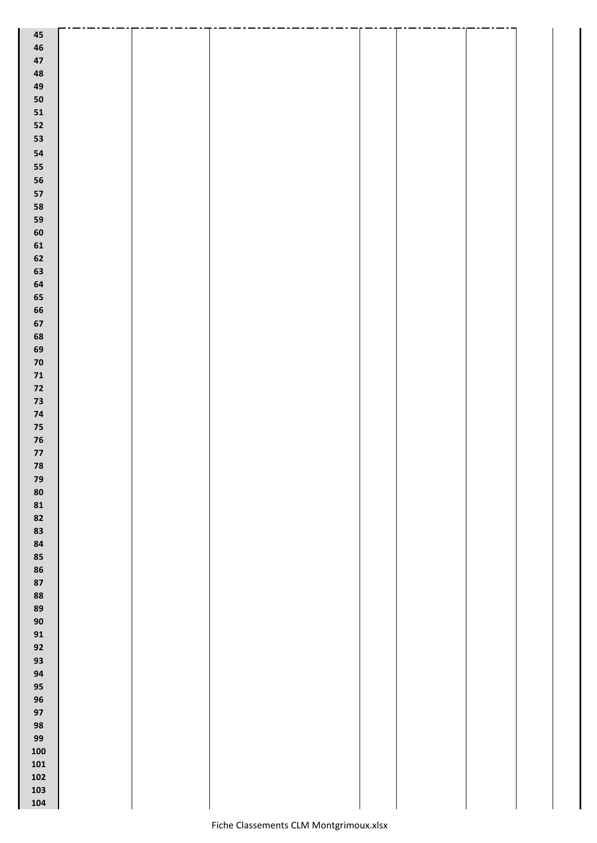| $\bf 45$      |  |  |  |  |
|---------------|--|--|--|--|
| $\bf 46$      |  |  |  |  |
| $\bf 47$      |  |  |  |  |
| 48            |  |  |  |  |
| 49            |  |  |  |  |
| 50            |  |  |  |  |
| 51            |  |  |  |  |
| 52            |  |  |  |  |
| 53            |  |  |  |  |
| 54            |  |  |  |  |
| 55            |  |  |  |  |
| 56            |  |  |  |  |
| 57            |  |  |  |  |
| 58            |  |  |  |  |
| 59            |  |  |  |  |
| 60            |  |  |  |  |
| 61            |  |  |  |  |
| ${\bf 62}$    |  |  |  |  |
| 63            |  |  |  |  |
| ${\bf 64}$    |  |  |  |  |
| 65            |  |  |  |  |
| 66            |  |  |  |  |
| ${\bf 67}$    |  |  |  |  |
|               |  |  |  |  |
| 68            |  |  |  |  |
| 69            |  |  |  |  |
| ${\bf 70}$    |  |  |  |  |
| $\mathbf{71}$ |  |  |  |  |
| $\mathbf{72}$ |  |  |  |  |
| 73            |  |  |  |  |
| $74$          |  |  |  |  |
| $75\,$        |  |  |  |  |
| ${\bf 76}$    |  |  |  |  |
| $\mathbf{77}$ |  |  |  |  |
| ${\bf 78}$    |  |  |  |  |
| 79            |  |  |  |  |
| 80            |  |  |  |  |
| 81            |  |  |  |  |
| 82            |  |  |  |  |
| 83            |  |  |  |  |
| 84            |  |  |  |  |
| 85            |  |  |  |  |
| 86            |  |  |  |  |
| 87            |  |  |  |  |
| 88            |  |  |  |  |
| 89            |  |  |  |  |
| $90\,$        |  |  |  |  |
| 91            |  |  |  |  |
| 92            |  |  |  |  |
| 93            |  |  |  |  |
| 94            |  |  |  |  |
| 95            |  |  |  |  |
| 96            |  |  |  |  |
| 97            |  |  |  |  |
| 98            |  |  |  |  |
| 99            |  |  |  |  |
| ${\bf 100}$   |  |  |  |  |
| 101           |  |  |  |  |
| 102           |  |  |  |  |
| 103           |  |  |  |  |
| ${\bf 104}$   |  |  |  |  |
|               |  |  |  |  |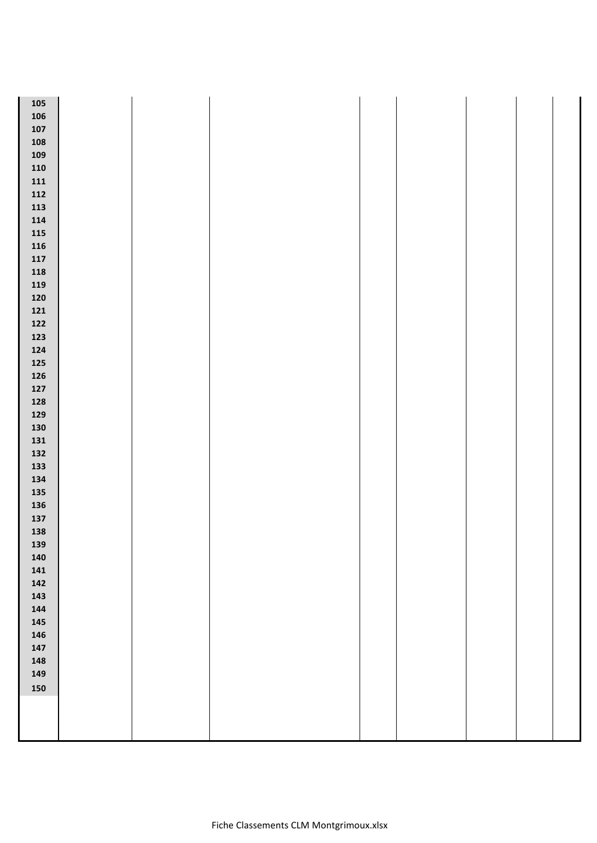| ${\bf 105}$ |  |  |  |  |
|-------------|--|--|--|--|
| ${\bf 106}$ |  |  |  |  |
| 107         |  |  |  |  |
| 108         |  |  |  |  |
| 109         |  |  |  |  |
| 110         |  |  |  |  |
| 111         |  |  |  |  |
| 112         |  |  |  |  |
| 113         |  |  |  |  |
| 114         |  |  |  |  |
| ${\bf 115}$ |  |  |  |  |
| ${\bf 116}$ |  |  |  |  |
| 117         |  |  |  |  |
| ${\bf 118}$ |  |  |  |  |
| 119         |  |  |  |  |
| 120         |  |  |  |  |
| 121         |  |  |  |  |
| 122         |  |  |  |  |
| 123         |  |  |  |  |
| 124         |  |  |  |  |
| 125         |  |  |  |  |
| 126         |  |  |  |  |
| 127         |  |  |  |  |
| 128         |  |  |  |  |
| 129         |  |  |  |  |
| 130         |  |  |  |  |
| 131         |  |  |  |  |
| 132         |  |  |  |  |
| 133         |  |  |  |  |
| 134         |  |  |  |  |
| 135         |  |  |  |  |
| 136         |  |  |  |  |
| 137         |  |  |  |  |
| 138         |  |  |  |  |
|             |  |  |  |  |
| 139<br>140  |  |  |  |  |
| 141         |  |  |  |  |
|             |  |  |  |  |
| 142         |  |  |  |  |
| $143$       |  |  |  |  |
| $144$       |  |  |  |  |
| 145         |  |  |  |  |
| 146         |  |  |  |  |
| $147$       |  |  |  |  |
| 148         |  |  |  |  |
| 149         |  |  |  |  |
| 150         |  |  |  |  |
|             |  |  |  |  |
|             |  |  |  |  |
|             |  |  |  |  |
|             |  |  |  |  |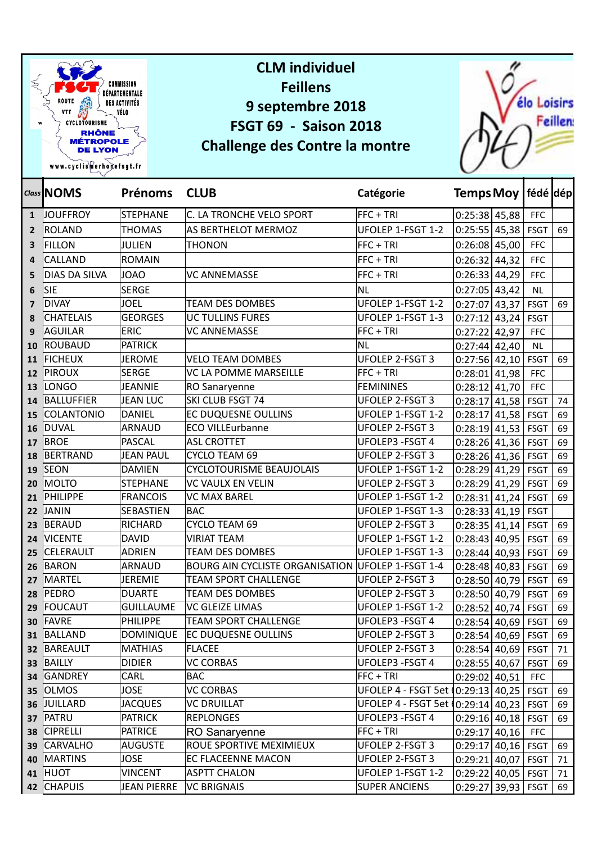

|                | Class NOMS        | <b>Prénoms</b>     | <b>CLUB</b>                                       | Catégorie                                 | Temps Moy   fédé   dép  |             |    |
|----------------|-------------------|--------------------|---------------------------------------------------|-------------------------------------------|-------------------------|-------------|----|
| $\mathbf{1}$   | <b>JOUFFROY</b>   | <b>STEPHANE</b>    | C. LA TRONCHE VELO SPORT                          | FFC + TRI                                 | $0:25:38$ 45,88         | <b>FFC</b>  |    |
| $\overline{2}$ | ROLAND            | <b>THOMAS</b>      | AS BERTHELOT MERMOZ                               | UFOLEP 1-FSGT 1-2                         | $0:25:55$ 45,38         | <b>FSGT</b> | 69 |
| 3              | FILLON            | <b>JULIEN</b>      | <b>THONON</b>                                     | FFC + TRI                                 | $0:26:08$ 45,00         | <b>FFC</b>  |    |
| 4              | <b>CALLAND</b>    | <b>ROMAIN</b>      |                                                   | FFC + TRI                                 | $0:26:32$ 44,32         | <b>FFC</b>  |    |
| 5              | DIAS DA SILVA     | <b>JOAO</b>        | VC ANNEMASSE                                      | FFC + TRI                                 | 0:26:33   44,29         | <b>FFC</b>  |    |
| 6              | Sie               | <b>SERGE</b>       |                                                   | İNL                                       | $0:27:05$ 43,42         | <b>NL</b>   |    |
| 7              | <b>DIVAY</b>      | <b>JOEL</b>        | <b>TEAM DES DOMBES</b>                            | UFOLEP 1-FSGT 1-2                         | $0:27:07$ 43,37         | <b>FSGT</b> | 69 |
| 8              | <b>CHATELAIS</b>  | <b>GEORGES</b>     | UC TULLINS FURES                                  | UFOLEP 1-FSGT 1-3                         | $0:27:12$ 43,24         | <b>FSGT</b> |    |
| q              | AGUILAR           | <b>ERIC</b>        | VC ANNEMASSE                                      | FFC + TRI                                 | $0:27:22$ 42,97         | <b>FFC</b>  |    |
| 10             | ROUBAUD           | <b>PATRICK</b>     |                                                   | NL                                        | $0:27:44$ 42,40         | <b>NL</b>   |    |
| 11             | <b>FICHEUX</b>    | <b>JEROME</b>      | <b>VELO TEAM DOMBES</b>                           | <b>UFOLEP 2-FSGT 3</b>                    | $0:27:56$ 42,10         | <b>FSGT</b> | 69 |
| 12             | <b>PIROUX</b>     | <b>SERGE</b>       | VC LA POMME MARSEILLE                             | FFC + TRI                                 | $0:28:01$ 41,98         | <b>FFC</b>  |    |
| 13             | LONGO             | <b>JEANNIE</b>     | RO Sanaryenne                                     | <b>FEMININES</b>                          | $0:28:12$ 41,70         | <b>FFC</b>  |    |
| 14             | BALLUFFIER        | JEAN LUC           | SKI CLUB FSGT 74                                  | <b>UFOLEP 2-FSGT 3</b>                    | $0:28:17$ 41,58         | <b>FSGT</b> | 74 |
| 15             | <b>COLANTONIO</b> | DANIEL             | <b>EC DUQUESNE OULLINS</b>                        | UFOLEP 1-FSGT 1-2                         | $0:28:17$ 41,58         | <b>FSGT</b> | 69 |
| 16             | DUVAL             | <b>ARNAUD</b>      | ECO VILLEurbanne                                  | <b>UFOLEP 2-FSGT 3</b>                    | $0:28:19$ 41,53         | <b>FSGT</b> | 69 |
| 17             | <b>BROE</b>       | <b>PASCAL</b>      | <b>ASL CROTTET</b>                                | UFOLEP3 - FSGT 4                          | $0:28:26$ 41,36         | <b>FSGT</b> | 69 |
| 18             | BERTRAND          | <b>JEAN PAUL</b>   | CYCLO TEAM 69                                     | <b>UFOLEP 2-FSGT 3</b>                    | $0:28:26$ 41,36         | <b>FSGT</b> | 69 |
| 19             | <b>SEON</b>       | <b>DAMIEN</b>      | <b>CYCLOTOURISME BEAUJOLAIS</b>                   | UFOLEP 1-FSGT 1-2                         | $0:28:29$ 41,29         | <b>FSGT</b> | 69 |
| 20             | MOLTO             | <b>STEPHANE</b>    | <b>VC VAULX EN VELIN</b>                          | <b>UFOLEP 2-FSGT 3</b>                    | $0:28:29$ 41,29         | <b>FSGT</b> | 69 |
| 21             | <b>PHILIPPE</b>   | <b>FRANCOIS</b>    | <b>VC MAX BAREL</b>                               | UFOLEP 1-FSGT 1-2                         | $0:28:31$ 41,24         | <b>FSGT</b> | 69 |
| 22             | JANIN             | <b>SEBASTIEN</b>   | BAC                                               | UFOLEP 1-FSGT 1-3                         | 0:28:33   41,19         | <b>FSGT</b> |    |
| 23             | BERAUD            | <b>RICHARD</b>     | CYCLO TEAM 69                                     | <b>UFOLEP 2-FSGT 3</b>                    | $0:28:35$ 41,14         | <b>FSGT</b> | 69 |
| 24             | <b>VICENTE</b>    | <b>DAVID</b>       | <b>VIRIAT TEAM</b>                                | UFOLEP 1-FSGT 1-2                         | $0:28:43$ 40,95         | <b>FSGT</b> | 69 |
| 25             | <b>CELERAULT</b>  | <b>ADRIEN</b>      | <b>TEAM DES DOMBES</b>                            | UFOLEP 1-FSGT 1-3                         | $0:28:44$ 40,93         | <b>FSGT</b> | 69 |
| 26             | BARON             | <b>ARNAUD</b>      | BOURG AIN CYCLISTE ORGANISATION UFOLEP 1-FSGT 1-4 |                                           | $0:28:48$ 40,83         | <b>FSGT</b> | 69 |
| 27             | MARTEL            | <b>JEREMIE</b>     | <b>TEAM SPORT CHALLENGE</b>                       | <b>UFOLEP 2-FSGT 3</b>                    | $0:28:50$ 40,79         | <b>FSGT</b> | 69 |
| 28             | PEDRO             | <b>DUARTE</b>      | <b>TEAM DES DOMBES</b>                            | UFOLEP 2-FSGT 3                           | $0:28:50$ 40,79         | <b>FSGT</b> | 69 |
| 29             | <b>FOUCAUT</b>    | <b>GUILLAUME</b>   | VC GLEIZE LIMAS                                   | UFOLEP 1-FSGT 1-2                         | $0:28:52$ 40,74         | <b>FSGT</b> | 69 |
| 30             | FAVRE             | PHILIPPE           | <b>TEAM SPORT CHALLENGE</b>                       | UFOLEP3 - FSGT 4                          | $0:28:54$ 40,69 FSGT    |             | 69 |
|                | 31 BALLAND        |                    | DOMINIQUE   EC DUQUESNE OULLINS                   | UFOLEP 2-FSGT 3                           | $0:28:54$ 40,69 FSGT 69 |             |    |
|                | 32 BAREAULT       | <b>MATHIAS</b>     | <b>FLACEE</b>                                     | UFOLEP 2-FSGT 3                           | $0:28:54$ 40,69 FSGT    |             | 71 |
|                | 33 BAILLY         | <b>DIDIER</b>      | VC CORBAS                                         | UFOLEP3 - FSGT 4                          | 0:28:55   40,67   FSGT  |             | 69 |
|                | 34 GANDREY        | CARL               | BAC                                               | FFC + TRI                                 | $0:29:02$ 40,51         | <b>FFC</b>  |    |
|                | 35 OLMOS          | <b>JOSE</b>        | <b>VC CORBAS</b>                                  | UFOLEP 4 - FSGT 5et (0:29:13 40,25   FSGT |                         |             | 69 |
|                | 36 JUILLARD       | <b>JACQUES</b>     | VC DRUILLAT                                       | UFOLEP 4 - FSGT 5et (0:29:14 40,23   FSGT |                         |             | 69 |
|                | 37 PATRU          | <b>PATRICK</b>     | <b>REPLONGES</b>                                  | UFOLEP3 - FSGT 4                          | $0:29:16$ 40,18 FSGT    |             | 69 |
|                | 38 CIPRELLI       | PATRICE            | RO Sanaryenne                                     | FFC + TRI                                 | $0:29:17$ 40,16 FFC     |             |    |
|                | 39 CARVALHO       | AUGUSTE            | ROUE SPORTIVE MEXIMIEUX                           | UFOLEP 2-FSGT 3                           | $0:29:17$ 40,16   FSGT  |             | 69 |
| 40             | <b>MARTINS</b>    | <b>JOSE</b>        | <b>EC FLACEENNE MACON</b>                         | UFOLEP 2-FSGT 3                           | $0:29:21$ 40,07   FSGT  |             | 71 |
|                | 41 HUOT           | <b>VINCENT</b>     | <b>ASPTT CHALON</b>                               | UFOLEP 1-FSGT 1-2                         | $0:29:22$ 40,05   FSGT  |             | 71 |
|                | 42 CHAPUIS        | <b>JEAN PIERRE</b> | <b>VC BRIGNAIS</b>                                | <b>SUPER ANCIENS</b>                      | $0:29:27$ 39,93 FSGT    |             | 69 |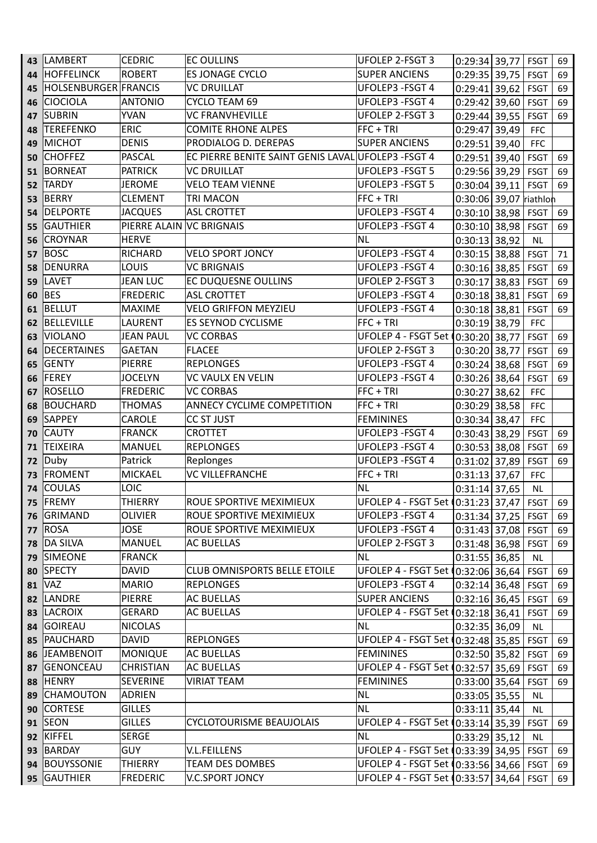| 43       | <b>LAMBERT</b>       | <b>CEDRIC</b>            | <b>EC OULLINS</b>                                   | UFOLEP 2-FSGT 3                            | $0:29:34$ 39,77 FSGT   |             | 69       |
|----------|----------------------|--------------------------|-----------------------------------------------------|--------------------------------------------|------------------------|-------------|----------|
| 44       | <b>HOFFELINCK</b>    | <b>ROBERT</b>            | <b>ES JONAGE CYCLO</b>                              | <b>SUPER ANCIENS</b>                       | $0:29:35$ 39,75        | <b>FSGT</b> | 69       |
| 45       | HOLSENBURGER FRANCIS |                          | VC DRUILLAT                                         | UFOLEP3 - FSGT 4                           | $0:29:41$ 39,62        | <b>FSGT</b> | 69       |
| 46       | <b>CIOCIOLA</b>      | <b>ANTONIO</b>           | CYCLO TEAM 69                                       | UFOLEP3 - FSGT 4                           | $0:29:42$ 39,60        | <b>FSGT</b> | 69       |
| 47       | <b>SUBRIN</b>        | <b>YVAN</b>              | <b>VC FRANVHEVILLE</b>                              | <b>UFOLEP 2-FSGT 3</b>                     | $0:29:44$ 39,55        | <b>FSGT</b> | 69       |
| 48       | TEREFENKO            | <b>ERIC</b>              | <b>COMITE RHONE ALPES</b>                           | <b>FFC + TRI</b>                           | $0:29:47$ 39,49        | <b>FFC</b>  |          |
| 49       | <b>MICHOT</b>        | <b>DENIS</b>             | PRODIALOG D. DEREPAS                                | <b>SUPER ANCIENS</b>                       | $0:29:51$ 39,40        | <b>FFC</b>  |          |
| 50       | <b>CHOFFEZ</b>       | <b>PASCAL</b>            | EC PIERRE BENITE SAINT GENIS LAVAL UFOLEP3 - FSGT 4 |                                            | $0:29:51$ 39,40        | <b>FSGT</b> | 69       |
| 51       | <b>BORNEAT</b>       | <b>PATRICK</b>           | <b>VC DRUILLAT</b>                                  | UFOLEP3 -FSGT 5                            | $0:29:56$ 39,29        | <b>FSGT</b> | 69       |
| 52       | <b>TARDY</b>         | <b>JEROME</b>            | VELO TEAM VIENNE                                    | UFOLEP3 - FSGT 5                           | $0:30:04$ 39,11        | FSGT        | 69       |
| 53       | BERRY                | <b>CLEMENT</b>           | <b>TRI MACON</b>                                    | $FFC + TRI$                                | 0:30:06 39,07 riathlon |             |          |
| 54       | <b>DELPORTE</b>      | <b>JACQUES</b>           | <b>ASL CROTTET</b>                                  | UFOLEP3 - FSGT 4                           | $0:30:10$ 38,98 FSGT   |             | 69       |
| 55       | <b>GAUTHIER</b>      | PIERRE ALAIN VC BRIGNAIS |                                                     | UFOLEP3 - FSGT 4                           | $0:30:10$ 38,98        | <b>FSGT</b> | 69       |
| 56       | <b>CROYNAR</b>       | <b>HERVE</b>             |                                                     | NL.                                        | $0:30:13$ 38,92        | <b>NL</b>   |          |
| 57       | <b>BOSC</b>          | <b>RICHARD</b>           | VELO SPORT JONCY                                    | UFOLEP3 - FSGT 4                           | $0:30:15$ 38,88        | FSGT        | 71       |
| 58       | DENURRA              | LOUIS                    | <b>VC BRIGNAIS</b>                                  | UFOLEP3 - FSGT 4                           | $0:30:16$ 38,85        | <b>FSGT</b> | 69       |
| 59       | <b>LAVET</b>         | <b>JEAN LUC</b>          | <b>EC DUQUESNE OULLINS</b>                          | UFOLEP 2-FSGT 3                            | $0:30:17$ 38,83        | <b>FSGT</b> | 69       |
| 60       | <b>BES</b>           | <b>FREDERIC</b>          | <b>ASL CROTTET</b>                                  | UFOLEP3 - FSGT 4                           | $0:30:18$ 38,81        | <b>FSGT</b> | 69       |
| 61       | BELLUT               | <b>MAXIME</b>            | <b>VELO GRIFFON MEYZIEU</b>                         | UFOLEP3 - FSGT 4                           | $0:30:18$ 38,81        | <b>FSGT</b> | 69       |
| 62       | <b>BELLEVILLE</b>    | <b>LAURENT</b>           | <b>ES SEYNOD CYCLISME</b>                           | $FFC + TRI$                                | $0:30:19$ 38,79        | <b>FFC</b>  |          |
| 63       | VIOLANO              | <b>JEAN PAUL</b>         | VC CORBAS                                           | UFOLEP 4 - FSGT 5et (0:30:20 38,77         |                        | <b>FSGT</b> | 69       |
| 64       | DECERTAINES          | <b>GAETAN</b>            | <b>FLACEE</b>                                       | <b>UFOLEP 2-FSGT 3</b>                     | $0:30:20$ 38,77        | <b>FSGT</b> | 69       |
| 65       | <b>GENTY</b>         | PIERRE                   | <b>REPLONGES</b>                                    | UFOLEP3 - FSGT 4                           | $0:30:24$ 38,68        | <b>FSGT</b> | 69       |
| 66       | <b>FEREY</b>         | <b>JOCELYN</b>           | VC VAULX EN VELIN                                   | UFOLEP3 - FSGT 4                           | $0:30:26$ 38,64        | <b>FSGT</b> | 69       |
| 67       | <b>ROSELLO</b>       | <b>FREDERIC</b>          | <b>VC CORBAS</b>                                    | FFC + TRI                                  | $0:30:27$ 38,62        | <b>FFC</b>  |          |
| 68       | <b>BOUCHARD</b>      | <b>THOMAS</b>            | <b>ANNECY CYCLIME COMPETITION</b>                   | $FFC + TRI$                                | $0:30:29$ 38,58        | <b>FFC</b>  |          |
| 69       | SAPPEY               | <b>CAROLE</b>            | CC ST JUST                                          | <b>FEMININES</b>                           | $0:30:34$ 38,47        | <b>FFC</b>  |          |
| 70       | <b>CAUTY</b>         | <b>FRANCK</b>            | <b>CROTTET</b>                                      | UFOLEP3 - FSGT 4                           | $0:30:43$ 38,29        | <b>FSGT</b> | 69       |
| 71       | <b>TEIXEIRA</b>      | <b>MANUEL</b>            | <b>REPLONGES</b>                                    | UFOLEP3 - FSGT 4                           | $0:30:53$ 38,08        | <b>FSGT</b> | 69       |
| 72       | Duby                 | Patrick                  | Replonges                                           | UFOLEP3 - FSGT 4                           | $0:31:02$ 37,89        | <b>FSGT</b> | 69       |
| 73       | <b>FROMENT</b>       | <b>MICKAEL</b>           | <b>VC VILLEFRANCHE</b>                              | FFC + TRI                                  | $0:31:13$ 37,67        | <b>FFC</b>  |          |
| 74       | <b>COULAS</b>        | <b>LOIC</b>              |                                                     | NL                                         | $0:31:14$ 37,65        | <b>NL</b>   |          |
|          | 75 FREMY             | <b>THIERRY</b>           | ROUE SPORTIVE MEXIMIEUX                             | UFOLEP 4 - FSGT 5et (0:31:23 37,47 FSGT 69 |                        |             |          |
|          | 76 GRIMAND           | <b>OLIVIER</b>           | ROUE SPORTIVE MEXIMIEUX                             | UFOLEP3 -FSGT 4                            | $0:31:34$ 37,25   FSGT |             | 69       |
|          | $77$ ROSA            | <b>JOSE</b>              | ROUE SPORTIVE MEXIMIEUX                             | UFOLEP3 - FSGT 4                           | $0:31:43$ 37,08   FSGT |             | 69       |
| 78       | <b>DA SILVA</b>      | MANUEL                   | AC BUELLAS                                          | UFOLEP 2-FSGT 3                            | $0:31:48$ 36,98 FSGT   |             | 69       |
|          | 79 SIMEONE           | <b>FRANCK</b>            |                                                     | NL.                                        |                        | <b>NL</b>   |          |
|          | <b>SPECTY</b>        | <b>DAVID</b>             | <b>CLUB OMNISPORTS BELLE ETOILE</b>                 | UFOLEP 4 - FSGT 5et (0:32:06 36,64         | $0:31:55$ 36,85        | <b>FSGT</b> |          |
| 80<br>81 | <b>VAZ</b>           | <b>MARIO</b>             | <b>REPLONGES</b>                                    | UFOLEP3 - FSGT 4                           | $0:32:14$ 36,48 FSGT   |             | 69<br>69 |
| 82       | <b>LANDRE</b>        | PIERRE                   | <b>AC BUELLAS</b>                                   | <b>SUPER ANCIENS</b>                       | $0:32:16$ 36,45        | <b>FSGT</b> | 69       |
| 83       | <b>LACROIX</b>       | <b>GERARD</b>            | <b>AC BUELLAS</b>                                   | UFOLEP 4 - FSGT 5et (0:32:18 36,41         |                        | <b>FSGT</b> | 69       |
| 84       | <b>GOIREAU</b>       | <b>NICOLAS</b>           |                                                     | NL                                         | $0:32:35$ 36,09        | NL          |          |
| 85       | PAUCHARD             | <b>DAVID</b>             | <b>REPLONGES</b>                                    | UFOLEP 4 - FSGT 5et (0:32:48 35,85         |                        | <b>FSGT</b> | 69       |
|          | 86 JEAMBENOIT        | MONIQUE                  | <b>AC BUELLAS</b>                                   | <b>FEMININES</b>                           | $0:32:50$ 35,82        | <b>FSGT</b> | 69       |
| 87       | <b>GENONCEAU</b>     | <b>CHRISTIAN</b>         | AC BUELLAS                                          | UFOLEP 4 - FSGT 5et (0:32:57 35,69         |                        | <b>FSGT</b> | 69       |
| 88       | <b>HENRY</b>         | <b>SEVERINE</b>          | VIRIAT TEAM                                         | <b>FEMININES</b>                           | $0:33:00$ 35,64        | <b>FSGT</b> | 69       |
| 89       | <b>CHAMOUTON</b>     | ADRIEN                   |                                                     | NL.                                        | $0:33:05$ 35,55        | <b>NL</b>   |          |
| 90       | <b>CORTESE</b>       | <b>GILLES</b>            |                                                     | NL.                                        | $0:33:11$ 35,44        | NL          |          |
| 91       | <b>SEON</b>          | <b>GILLES</b>            | CYCLOTOURISME BEAUJOLAIS                            | UFOLEP 4 - FSGT 5et (0:33:14 35,39         |                        | FSGT        | 69       |
| 92       | KIFFEL               | <b>SERGE</b>             |                                                     | INL                                        | $0:33:29$ 35,12        | <b>NL</b>   |          |
|          | 93 BARDAY            | <b>GUY</b>               | V.L.FEILLENS                                        | UFOLEP 4 - FSGT 5et (0:33:39  34,95        |                        | FSGT        | 69       |
|          | 94 BOUYSSONIE        | <b>THIERRY</b>           | <b>TEAM DES DOMBES</b>                              | UFOLEP 4 - FSGT 5et (0:33:56 34,66         |                        | <b>FSGT</b> | 69       |
| 95       | <b>GAUTHIER</b>      | <b>FREDERIC</b>          | V.C.SPORT JONCY                                     | UFOLEP 4 - FSGT 5et (0:33:57 34,64         |                        | <b>FSGT</b> | 69       |
|          |                      |                          |                                                     |                                            |                        |             |          |